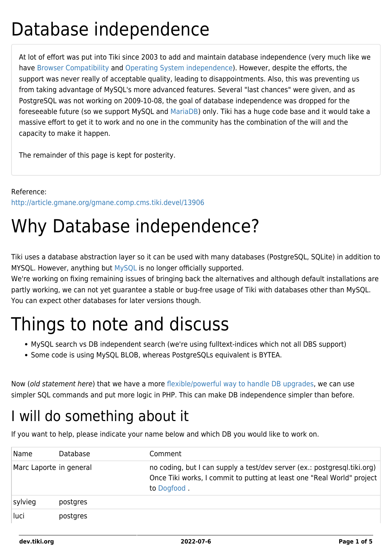## Database independence

At lot of effort was put into Tiki since 2003 to add and maintain database independence (very much like we have [Browser Compatibility](https://dev.tiki.org/Browser-Compatibility) and [Operating System independence](https://dev.tiki.org/Operating-System-independence)). However, despite the efforts, the support was never really of acceptable quality, leading to disappointments. Also, this was preventing us from taking advantage of MySQL's more advanced features. Several "last chances" were given, and as PostgreSQL was not working on 2009-10-08, the goal of database independence was dropped for the foreseeable future (so we support MySQL and [MariaDB\)](http://mariadb.org/) only. Tiki has a huge code base and it would take a massive effort to get it to work and no one in the community has the combination of the will and the capacity to make it happen.

The remainder of this page is kept for posterity.

Reference: <http://article.gmane.org/gmane.comp.cms.tiki.devel/13906>

# Why Database independence?

Tiki uses a database abstraction layer so it can be used with many databases (PostgreSQL, SQLite) in addition to MYSQL. However, anything but [MySQL](https://dev.tiki.org/Database-MySQL) is no longer officially supported.

We're working on fixing remaining issues of bringing back the alternatives and although default installations are partly working, we can not yet guarantee a stable or bug-free usage of Tiki with databases other than MySQL. You can expect other databases for later versions though.

# Things to note and discuss

- MySQL search vs DB independent search (we're using fulltext-indices which not all DBS support)
- Some code is using MySQL BLOB, whereas PostgreSQLs equivalent is BYTEA.

Now (old statement here) that we have a more [flexible/powerful way to handle DB upgrades,](https://dev.tiki.org/Database-Schema-Upgrade) we can use simpler SQL commands and put more logic in PHP. This can make DB independence simpler than before.

### I will do something about it

If you want to help, please indicate your name below and which DB you would like to work on.

| Name                    | Database | Comment                                                                                                                                                           |
|-------------------------|----------|-------------------------------------------------------------------------------------------------------------------------------------------------------------------|
| Marc Laporte in general |          | no coding, but I can supply a test/dev server (ex.: postgresql.tiki.org)<br>Once Tiki works, I commit to putting at least one "Real World" project<br>to Dogfood. |
| sylvieg                 | postgres |                                                                                                                                                                   |
| luci                    | postgres |                                                                                                                                                                   |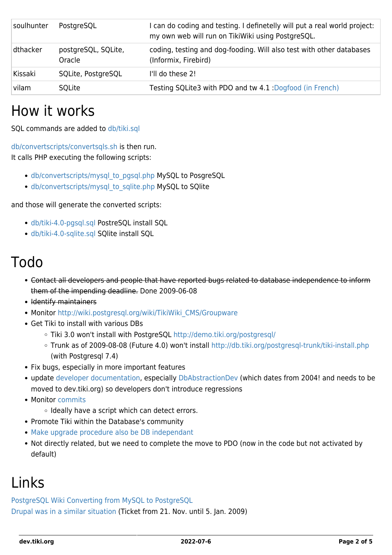| soulhunter | PostgreSQL                    | I can do coding and testing. I definetelly will put a real world project:<br>my own web will run on TikiWiki using PostgreSQL. |
|------------|-------------------------------|--------------------------------------------------------------------------------------------------------------------------------|
| dthacker   | postgreSQL, SQLite,<br>Oracle | coding, testing and dog-fooding. Will also test with other databases<br>(Informix, Firebird)                                   |
| Kissaki    | SQLite, PostgreSQL            | I'll do these 2!                                                                                                               |
| vilam      | SOLite                        | Testing SQLite3 with PDO and tw 4.1 : Dogfood (in French)                                                                      |

### How it works

SQL commands are added to [db/tiki.sql](http://tikiwiki.svn.sourceforge.net/viewvc/tikiwiki/trunk/db/tiki.sql)

[db/convertscripts/convertsqls.sh](http://tikiwiki.svn.sourceforge.net/viewvc/tikiwiki/trunk/db/convertscripts/convertsqls.sh?view=markup) is then run.

It calls PHP executing the following scripts:

- [db/convertscripts/mysql\\_to\\_pgsql.php](http://tikiwiki.svn.sourceforge.net/viewvc/tikiwiki/trunk/db/convertscripts/mysql3topgsql72.php?view=markup) MySQL to PosgreSQL
- [db/convertscripts/mysql\\_to\\_sqlite.php](http://tikiwiki.svn.sourceforge.net/viewvc/tikiwiki/trunk/db/convertscripts/mysql3tosqlite.php?view=markup) MySQL to SQlite

and those will generate the converted scripts:

- [db/tiki-4.0-pgsql.sql](http://tikiwiki.svn.sourceforge.net/viewvc/tikiwiki/trunk/db/tiki-4.0-pgsql.sql?view=markup) PostreSQL install SQL
- [db/tiki-4.0-sqlite.sql](http://tikiwiki.svn.sourceforge.net/viewvc/tikiwiki/trunk/db/tiki-4.0-sqlite.sql?view=markup) SQlite install SQL

### Todo

- Contact all developers and people that have reported bugs related to database independence to inform them of the impending deadline. Done 2009-06-08
- Identify maintainers
- Monitor http://wiki.postgresql.org/wiki/TikiWiki CMS/Groupware
- Get Tiki to install with various DBs
	- o Tiki 3.0 won't install with PostgreSQL <http://demo.tiki.org/postgresql/>
	- Trunk as of 2009-08-08 (Future 4.0) won't install<http://db.tiki.org/postgresql-trunk/tiki-install.php> (with Postgresql 7.4)
- Fix bugs, especially in more important features
- update [developer documentation,](https://dev.tiki.org/Hello-World#To_execute_some_queries_in_the_php) especially [DbAbstractionDev](http://tiki.org/DbAbstractionDev) (which dates from 2004! and needs to be moved to dev.tiki.org) so developers don't introduce regressions
- Monitor [commits](http://lists.sourceforge.net/lists/listinfo/tikiwiki-cvs)
	- $\circ$  Ideally have a script which can detect errors.
- Promote Tiki within the Database's community
- [Make upgrade procedure also be DB independant](https://dev.tiki.org/Database-Schema-Upgrade)
- Not directly related, but we need to complete the move to PDO (now in the code but not activated by default)

### Links

[PostgreSQL Wiki Converting from MySQL to PostgreSQL](http://wiki.postgresql.org/wiki/Converting_from_other_Databases_to_PostgreSQL#MySQL) [Drupal was in a similar situation](http://drupal.org/node/337146) (Ticket from 21. Nov. until 5. Jan. 2009)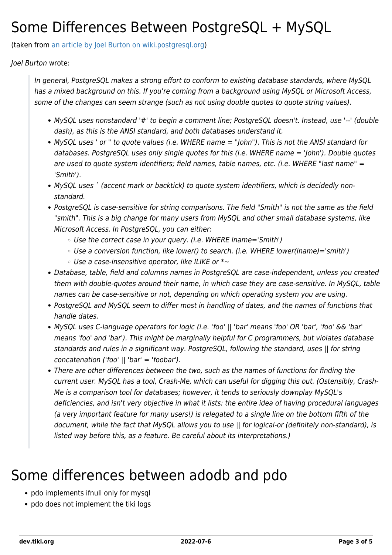### Some Differences Between PostgreSQL + MySQL

(taken from [an article by Joel Burton on wiki.postgresql.org](http://wiki.postgresql.org/wiki/Things_to_find_out_about_when_moving_from_MySQL_to_PostgreSQL))

#### Joel Burton wrote:

In general, PostgreSQL makes a strong effort to conform to existing database standards, where MySQL has a mixed background on this. If you're coming from a background using MySQL or Microsoft Access, some of the changes can seem strange (such as not using double quotes to quote string values).

- MySQL uses nonstandard '#' to begin a comment line; PostgreSQL doesn't. Instead, use '--' (double dash), as this is the ANSI standard, and both databases understand it.
- MySQL uses ' or " to quote values (i.e. WHERE name = "John"). This is not the ANSI standard for databases. PostgreSQL uses only single quotes for this (i.e. WHERE name = 'John'). Double quotes are used to quote system identifiers; field names, table names, etc. (i.e. WHERE "last name" = 'Smith').
- MySQL uses ` (accent mark or backtick) to quote system identifiers, which is decidedly nonstandard.
- PostgreSQL is case-sensitive for string comparisons. The field "Smith" is not the same as the field "smith". This is a big change for many users from MySQL and other small database systems, like Microsoft Access. In PostgreSQL, you can either:
	- Use the correct case in your query. (i.e. WHERE lname='Smith')
	- $\circ$  Use a conversion function, like lower() to search. (i.e. WHERE lower(lname)='smith')
	- $\circ$  Use a case-insensitive operator, like ILIKE or  $\ast \sim$
- Database, table, field and columns names in PostgreSQL are case-independent, unless you created them with double-quotes around their name, in which case they are case-sensitive. In MySQL, table names can be case-sensitive or not, depending on which operating system you are using.
- PostgreSQL and MySQL seem to differ most in handling of dates, and the names of functions that handle dates.
- MySQL uses C-language operators for logic (i.e. 'foo' || 'bar' means 'foo' OR 'bar', 'foo' && 'bar' means 'foo' and 'bar'). This might be marginally helpful for C programmers, but violates database standards and rules in a significant way. PostgreSQL, following the standard, uses || for string concatenation ('foo' || 'bar' = 'foobar').
- There are other differences between the two, such as the names of functions for finding the current user. MySQL has a tool, Crash-Me, which can useful for digging this out. (Ostensibly, Crash-Me is a comparison tool for databases; however, it tends to seriously downplay MySQL's deficiencies, and isn't very objective in what it lists: the entire idea of having procedural languages (a very important feature for many users!) is relegated to a single line on the bottom fifth of the document, while the fact that MySQL allows you to use || for logical-or (definitely non-standard), is listed way before this, as a feature. Be careful about its interpretations.)

### Some differences between adodb and pdo

- pdo implements ifnull only for mysql
- pdo does not implement the tiki logs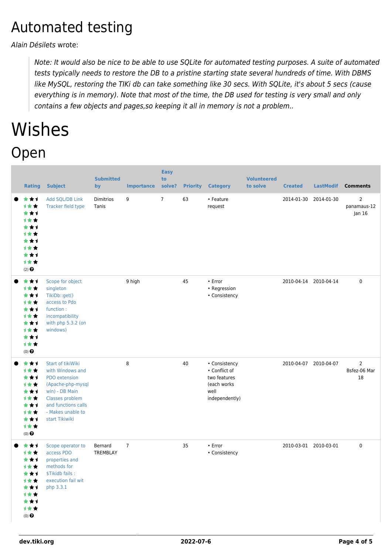### Automated testing

Alain Désilets wrote:

Note: It would also be nice to be able to use SQLite for automated testing purposes. A suite of automated tests typically needs to restore the DB to a pristine starting state several hundreds of time. With DBMS like MySQL, restoring the TIKi db can take something like 30 secs. With SQLite, it's about 5 secs (cause everything is in memory). Note that most of the time, the DB used for testing is very small and only contains a few objects and pages,so keeping it all in memory is not a problem..

# Wishes

### Open

| <b>Rating</b>                                                                                     | <b>Subject</b>                                                                                                                                                                 | <b>Submitted</b><br>by | <b>Importance</b> | <b>Easy</b><br>to<br>solve? | <b>Priority</b> | <b>Category</b>                                                                         | <b>Volunteered</b><br>to solve | <b>Created</b>        | <b>LastModif</b>      | <b>Comments</b>                         |
|---------------------------------------------------------------------------------------------------|--------------------------------------------------------------------------------------------------------------------------------------------------------------------------------|------------------------|-------------------|-----------------------------|-----------------|-----------------------------------------------------------------------------------------|--------------------------------|-----------------------|-----------------------|-----------------------------------------|
| ***<br>1★★<br>***<br><b>1**</b><br>***<br>1★★<br>***<br><b>1**</b><br>***<br>计女女<br>$(2)$ $\odot$ | Add SQL/DB Link<br>Tracker field type                                                                                                                                          | Dimitrios<br>Tanis     | 9                 | $7^{\circ}$                 | 63              | • Feature<br>request                                                                    |                                |                       | 2014-01-30 2014-01-30 | $\overline{2}$<br>panamaus-12<br>Jan 16 |
| ***<br>计女女<br>***<br>计女女<br>***<br><b>1**</b><br>***<br><b>1**</b><br>***<br>计女女<br>$(0)$ $\odot$ | Scope for object<br>singleton<br>TikiDb::get()<br>access to Pdo<br>function:<br>incompatibility<br>with php 5.3.2 (on<br>windows)                                              |                        | 9 high            |                             | 45              | • Error<br>• Regression<br>• Consistency                                                |                                | 2010-04-14 2010-04-14 |                       | $\mathbf 0$                             |
| ***<br>计女女<br>***<br>计女女<br>***<br>计女女<br>***<br><b>1**</b><br>***<br>计女女<br>$(0)$ $\Theta$       | Start of tikiWiki<br>with Windows and<br>PDO extension<br>(Apache-php-mysql<br>win) - DB Main<br>Classes problem<br>and functions calls<br>- Makes unable to<br>start Tikiwiki |                        | 8                 |                             | 40              | • Consistency<br>• Conflict of<br>two features<br>(each works<br>well<br>independently) |                                | 2010-04-07 2010-04-07 |                       | $\overline{2}$<br>Bsfez-06 Mar<br>18    |
| ***<br><b>1**</b><br>***<br>计女女<br>***<br>1★★<br>***<br>计女女<br>***<br>计女女<br>(0) $\pmb{\Theta}$   | Scope operator to<br>access PDO<br>properties and<br>methods for<br>\$Tikidb fails:<br>execution fail wit<br>php 3.3.1                                                         | Bernard<br>TREMBLAY    | $\overline{7}$    |                             | 35              | • Error<br>• Consistency                                                                |                                | 2010-03-01 2010-03-01 |                       | $\mathbf 0$                             |